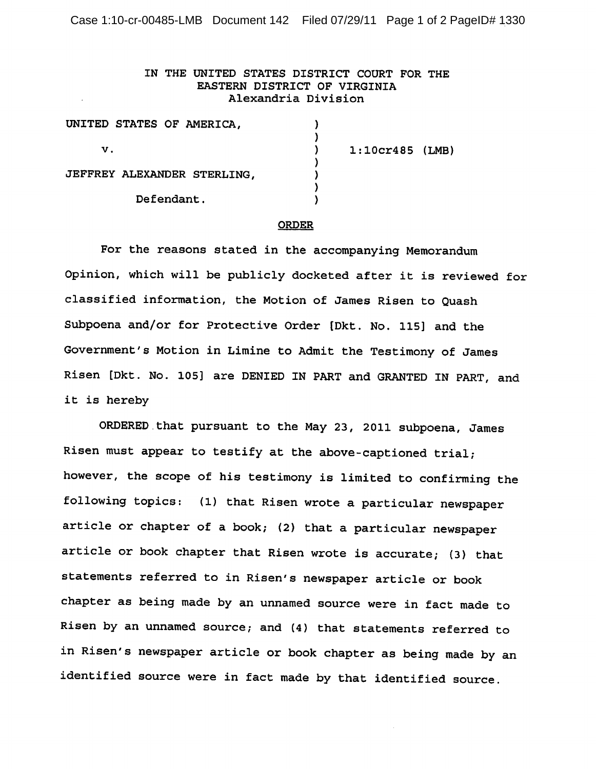Case 1:10-cr-00485-LMB Document 142 Filed 07/29/11 Page 1 of 2 PageID# 1330

## IN THE UNITED STATES DISTRICT COURT FOR THE EASTERN DISTRICT OF VIRGINIA Alexandria Division

| UNITED STATES OF AMERICA,   |                   |
|-----------------------------|-------------------|
| V.                          | $1:10cr485$ (LMB) |
| JEFFREY ALEXANDER STERLING, |                   |
| Defendant.                  |                   |

## **ORDER**

For the reasons stated in the accompanying Memorandum Opinion, which will be publicly docketed after it is reviewed for classified information, the Motion of James Risen to Quash Subpoena and/or for Protective Order [Dkt. No. 115] and the Government's Motion in Limine to Admit the Testimony of James Risen [Dkt. No. 105] are DENIED IN PART and GRANTED IN PART, and it is hereby

ORDERED that pursuant to the May 23, 2011 subpoena, James Risen must appear to testify at the above-captioned trial; however, the scope of his testimony is limited to confirming the following topics: (1) that Risen wrote a particular newspaper article or chapter of a book; (2) that a particular newspaper article or book chapter that Risen wrote is accurate; (3) that statements referred to in Risen's newspaper article or book chapter as being made by an unnamed source were in fact made to Risen by an unnamed source; and (4) that statements referred to in Risen's newspaper article or book chapter as being made by an identified source were in fact made by that identified source.